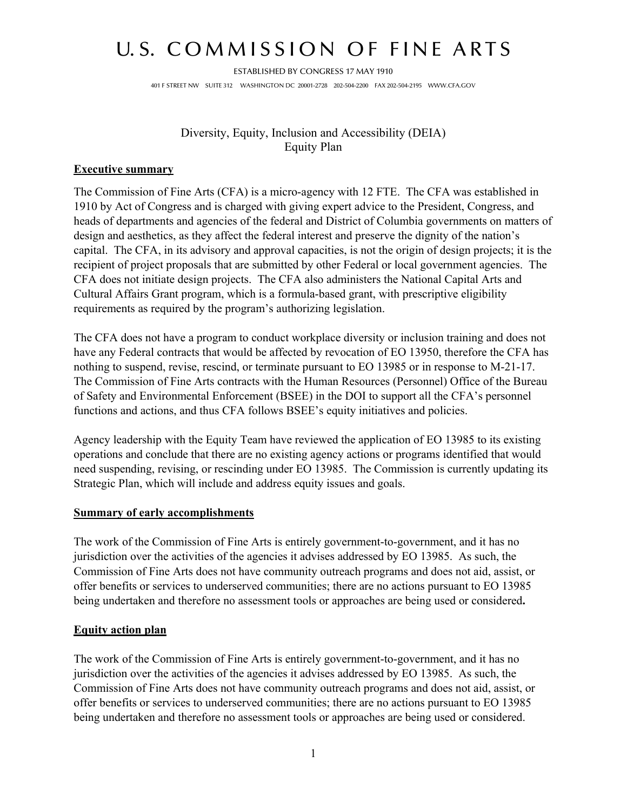## U.S. COMMISSION OF FINE ARTS

ESTABLISHED BY CONGRESS 17 MAY 1910 401 F STREET NW SUITE 312 WASHINGTON DC 20001-2728 202-504-2200 FAX 202-504-2195 WWW.CFA.GOV

> Diversity, Equity, Inclusion and Accessibility (DEIA) Equity Plan

## **Executive summary**

The Commission of Fine Arts (CFA) is a micro-agency with 12 FTE. The CFA was established in 1910 by Act of Congress and is charged with giving expert advice to the President, Congress, and heads of departments and agencies of the federal and District of Columbia governments on matters of design and aesthetics, as they affect the federal interest and preserve the dignity of the nation's capital. The CFA, in its advisory and approval capacities, is not the origin of design projects; it is the recipient of project proposals that are submitted by other Federal or local government agencies. The CFA does not initiate design projects. The CFA also administers the National Capital Arts and Cultural Affairs Grant program, which is a formula-based grant, with prescriptive eligibility requirements as required by the program's authorizing legislation.

The CFA does not have a program to conduct workplace diversity or inclusion training and does not have any Federal contracts that would be affected by revocation of EO 13950, therefore the CFA has nothing to suspend, revise, rescind, or terminate pursuant to EO 13985 or in response to M-21-17. The Commission of Fine Arts contracts with the Human Resources (Personnel) Office of the Bureau of Safety and Environmental Enforcement (BSEE) in the DOI to support all the CFA's personnel functions and actions, and thus CFA follows BSEE's equity initiatives and policies.

Agency leadership with the Equity Team have reviewed the application of EO 13985 to its existing operations and conclude that there are no existing agency actions or programs identified that would need suspending, revising, or rescinding under EO 13985. The Commission is currently updating its Strategic Plan, which will include and address equity issues and goals.

## **Summary of early accomplishments**

The work of the Commission of Fine Arts is entirely government-to-government, and it has no jurisdiction over the activities of the agencies it advises addressed by EO 13985. As such, the Commission of Fine Arts does not have community outreach programs and does not aid, assist, or offer benefits or services to underserved communities; there are no actions pursuant to EO 13985 being undertaken and therefore no assessment tools or approaches are being used or considered**.** 

## **Equity action plan**

The work of the Commission of Fine Arts is entirely government-to-government, and it has no jurisdiction over the activities of the agencies it advises addressed by EO 13985. As such, the Commission of Fine Arts does not have community outreach programs and does not aid, assist, or offer benefits or services to underserved communities; there are no actions pursuant to EO 13985 being undertaken and therefore no assessment tools or approaches are being used or considered.